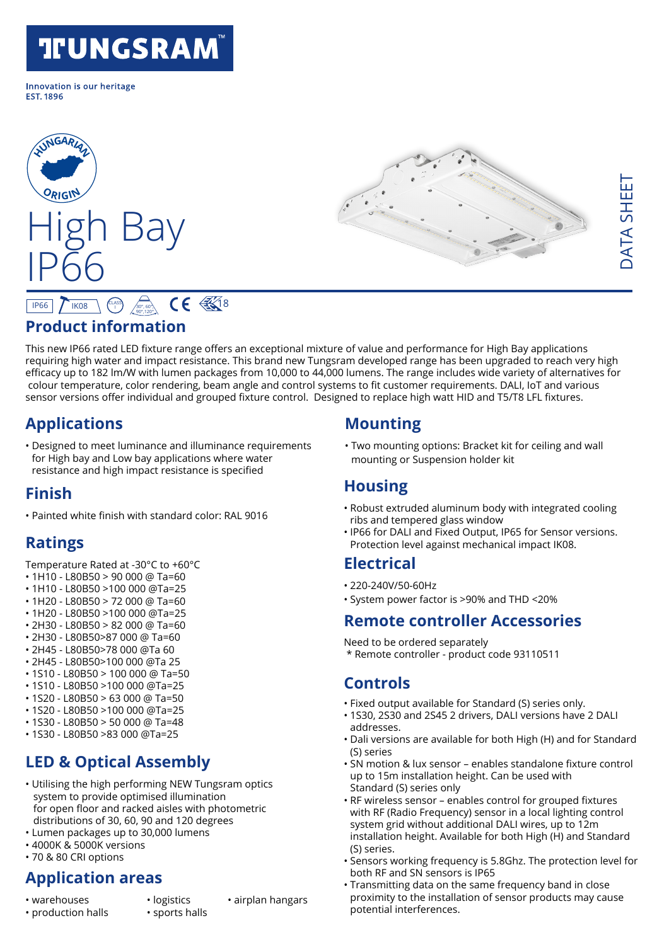# **TIUNGSRAM®**

Innovation is our heritage **FST 1896** 





#### **Product information**  $IP66$   $N$  IK08 I 30°, 60°, 90°,120°  $CE \frac{2}{3}$

This new IP66 rated LED fixture range offers an exceptional mixture of value and performance for High Bay applications requiring high water and impact resistance. This brand new Tungsram developed range has been upgraded to reach very high efficacy up to 182 lm/W with lumen packages from 10,000 to 44,000 lumens. The range includes wide variety of alternatives for colour temperature, color rendering, beam angle and control systems to fit customer requirements. DALI, IoT and various sensor versions offer individual and grouped fixture control. Designed to replace high watt HID and T5/T8 LFL fixtures.

# **Applications**

• Designed to meet luminance and illuminance requirements for High bay and Low bay applications where water resistance and high impact resistance is specified

### **Finish**

• Painted white finish with standard color: RAL 9016

## **Ratings**

Temperature Rated at -30°C to +60°C

- 1H10 L80B50 > 90 000 @ Ta=60
- 1H10 L80B50 >100 000 @Ta=25
- 1H20 L80B50 > 72 000 @ Ta=60
- 1H20 L80B50 >100 000 @Ta=25 • 2H30 - L80B50 > 82 000 @ Ta=60
- 2H30 L80B50>87 000 @ Ta=60
- 2H45 L80B50>78 000 @Ta 60
- 2H45 L80B50>100 000 @Ta 25
- 1S10 L80B50 > 100 000 @ Ta=50
- 1S10 L80B50 >100 000 @Ta=25
- 1S20 L80B50 > 63 000 @ Ta=50
- 1S20 L80B50 >100 000 @Ta=25
- 1S30 L80B50 > 50 000 @ Ta=48
- 1S30 L80B50 >83 000 @Ta=25

# **LED & Optical Assembly**

- Utilising the high performing NEW Tungsram optics system to provide optimised illumination for open floor and racked aisles with photometric distributions of 30, 60, 90 and 120 degrees
- Lumen packages up to 30,000 lumens
- 4000K & 5000K versions
- 70 & 80 CRI options

### **Application areas**

- 
- 
- warehouses logistics airplan hangars
- production halls sports halls
- 
- 

# **Mounting**

• Two mounting options: Bracket kit for ceiling and wall mounting or Suspension holder kit

### **Housing**

- Robust extruded aluminum body with integrated cooling ribs and tempered glass window
- IP66 for DALI and Fixed Output, IP65 for Sensor versions. Protection level against mechanical impact IK08.

### **Electrical**

- 220-240V/50-60Hz
- System power factor is >90% and THD <20%

### **Remote controller Accessories**

Need to be ordered separately

\* Remote controller - product code 93110511

### **Controls**

- Fixed output available for Standard (S) series only.
- 1S30, 2S30 and 2S45 2 drivers, DALI versions have 2 DALI addresses.
- Dali versions are available for both High (H) and for Standard (S) series
- SN motion & lux sensor enables standalone fixture control up to 15m installation height. Can be used with Standard (S) series only
- RF wireless sensor enables control for grouped fixtures with RF (Radio Frequency) sensor in a local lighting control system grid without additional DALI wires, up to 12m installation height. Available for both High (H) and Standard (S) series.
- Sensors working frequency is 5.8Ghz. The protection level for both RF and SN sensors is IP65
- Transmitting data on the same frequency band in close proximity to the installation of sensor products may cause potential interferences.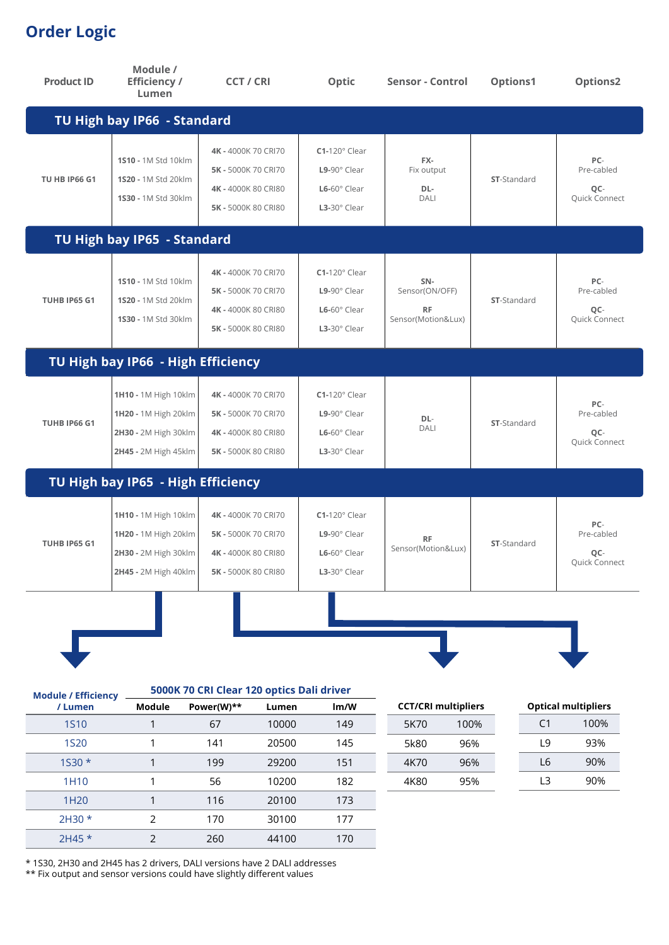# **Order Logic**

| <b>Product ID</b>                     | Module /<br><b>Efficiency /</b><br>Lumen                                                     | <b>CCT / CRI</b>                                                                         |       | Optic                                                                              | <b>Sensor - Control</b>                                  | Options1           |    | Options2                                  |
|---------------------------------------|----------------------------------------------------------------------------------------------|------------------------------------------------------------------------------------------|-------|------------------------------------------------------------------------------------|----------------------------------------------------------|--------------------|----|-------------------------------------------|
|                                       | TU High bay IP66 - Standard                                                                  |                                                                                          |       |                                                                                    |                                                          |                    |    |                                           |
| <b>TU HB IP66 G1</b>                  | 1510 - 1M Std 10klm<br>1S20 - 1M Std 20klm<br>1530 - 1M Std 30klm                            | 4K - 4000K 70 CRI70<br>5K - 5000K 70 CRI70<br>4K - 4000K 80 CRI80<br>5K - 5000K 80 CRI80 |       | $C1-120^\circ$ Clear<br>L9-90° Clear<br>L6-60° Clear<br>$L3-30^\circ$ Clear        | FX-<br>Fix output<br>DL-<br>DALI                         | <b>ST-Standard</b> |    | PC-<br>Pre-cabled<br>QC-<br>Quick Connect |
|                                       | TU High bay IP65 - Standard                                                                  |                                                                                          |       |                                                                                    |                                                          |                    |    |                                           |
| TUHB IP65 G1                          | 1510 - 1M Std 10klm<br>1S20 - 1M Std 20klm<br>1530 - 1M Std 30klm                            | 4K - 4000K 70 CRI70<br>5K - 5000K 70 CRI70<br>4K - 4000K 80 CRI80<br>5K - 5000K 80 CRI80 |       | $C1-120^\circ$ Clear<br>$L9-90^\circ$ Clear<br>L6-60° Clear<br>$L3-30^\circ$ Clear | SN-<br>Sensor(ON/OFF)<br><b>RF</b><br>Sensor(Motion&Lux) | <b>ST-Standard</b> |    | PC-<br>Pre-cabled<br>QC-<br>Quick Connect |
|                                       | TU High bay IP66 - High Efficiency                                                           |                                                                                          |       |                                                                                    |                                                          |                    |    |                                           |
| <b>TUHB IP66 G1</b>                   | 1H10 - 1M High 10klm<br>1H20 - 1M High 20klm<br>2H30 - 2M High 30klm<br>2H45 - 2M High 45klm | 4K - 4000K 70 CRI70<br>5K - 5000K 70 CRI70<br>4K - 4000K 80 CRI80<br>5K - 5000K 80 CRI80 |       | $C1-120^\circ$ Clear<br>$L9-90^\circ$ Clear<br>L6-60° Clear<br>L3-30° Clear        | DL-<br><b>DALI</b>                                       | <b>ST-Standard</b> |    | PC-<br>Pre-cabled<br>QC-<br>Quick Connect |
|                                       | TU High bay IP65 - High Efficiency                                                           |                                                                                          |       |                                                                                    |                                                          |                    |    |                                           |
| <b>TUHB IP65 G1</b>                   | 1H10 - 1M High 10klm<br>1H20 - 1M High 20klm<br>2H30 - 2M High 30klm<br>2H45 - 2M High 40klm | 4K - 4000K 70 CRI70<br>5K - 5000K 70 CRI70<br>4K - 4000K 80 CRI80<br>5K - 5000K 80 CRI80 |       | $C1-120^\circ$ Clear<br>$L9-90^\circ$ Clear<br>$L6-60^\circ$ Clear<br>L3-30° Clear | <b>RF</b><br>Sensor(Motion&Lux)                          | <b>ST-Standard</b> |    | PC-<br>Pre-cabled<br>QC-<br>Quick Connect |
| <b>Module / Efficiency</b><br>/ Lumen | Module                                                                                       | 5000K 70 CRI Clear 120 optics Dali driver<br>Power(W)**                                  | Lumen | Im/W                                                                               | <b>CCT/CRI multipliers</b>                               |                    |    | <b>Optical multipliers</b>                |
| <b>1S10</b>                           | $\mathbf{1}$                                                                                 | 67                                                                                       | 10000 | 149                                                                                | 5K70                                                     | 100%               | C1 | 100%                                      |
| <b>1S20</b>                           | $\mathbf{1}$                                                                                 | 141                                                                                      | 20500 | 145                                                                                | 5k80                                                     | 96%                | L9 | 93%                                       |

| <b>1S10</b>      |               | 67  | 10000 | 149 |
|------------------|---------------|-----|-------|-----|
| <b>1S20</b>      |               | 141 | 20500 | 145 |
| $1530*$          |               | 199 | 29200 | 151 |
| 1H <sub>10</sub> |               | 56  | 10200 | 182 |
| 1H <sub>20</sub> |               | 116 | 20100 | 173 |
| $2H30*$          | $\mathcal{P}$ | 170 | 30100 | 177 |
| $2H45*$          |               | 260 | 44100 | 170 |

| ۲1  | 100% |
|-----|------|
| l 9 | 93%  |
| L6  | 90%  |
| l 3 | 90%  |

4K70 96% 4K80 95%

\* 1S30, 2H30 and 2H45 has 2 drivers, DALI versions have 2 DALI addresses

\*\* Fix output and sensor versions could have slightly different values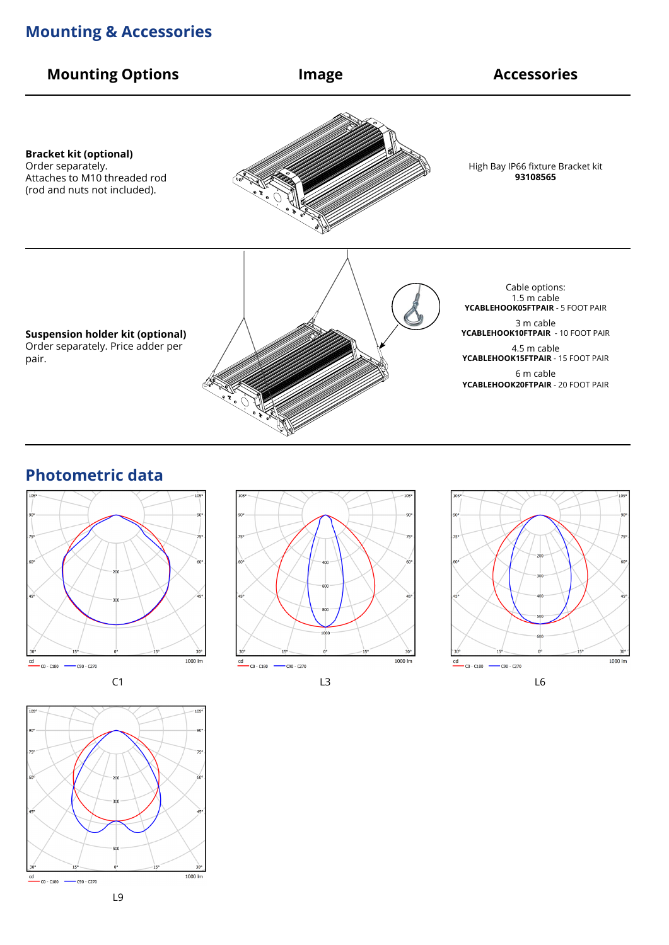### **Mounting & Accessories**



#### **Photometric data**









L3 L6